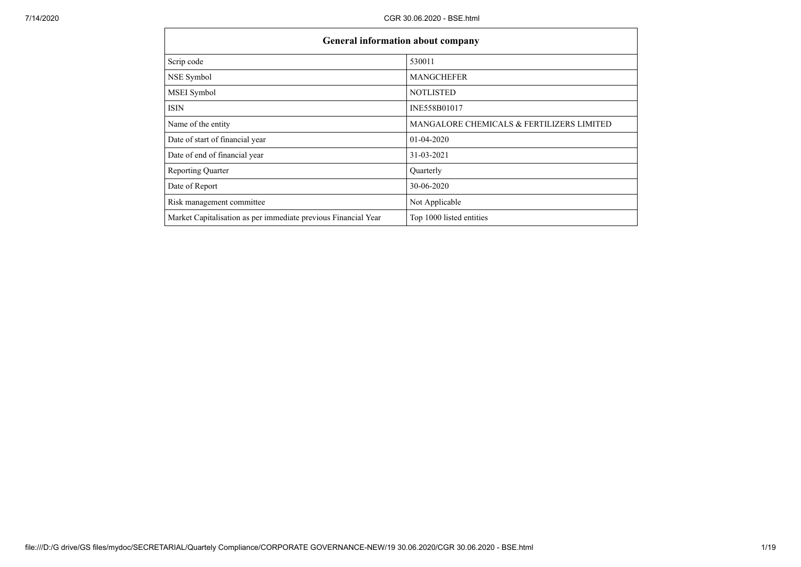| <b>General information about company</b>                       |                                           |
|----------------------------------------------------------------|-------------------------------------------|
| Scrip code                                                     | 530011                                    |
| NSE Symbol                                                     | <b>MANGCHEFER</b>                         |
| MSEI Symbol                                                    | <b>NOTLISTED</b>                          |
| <b>ISIN</b>                                                    | INE558B01017                              |
| Name of the entity                                             | MANGALORE CHEMICALS & FERTILIZERS LIMITED |
| Date of start of financial year                                | $01-04-2020$                              |
| Date of end of financial year                                  | 31-03-2021                                |
| <b>Reporting Quarter</b>                                       | Quarterly                                 |
| Date of Report                                                 | 30-06-2020                                |
| Risk management committee                                      | Not Applicable                            |
| Market Capitalisation as per immediate previous Financial Year | Top 1000 listed entities                  |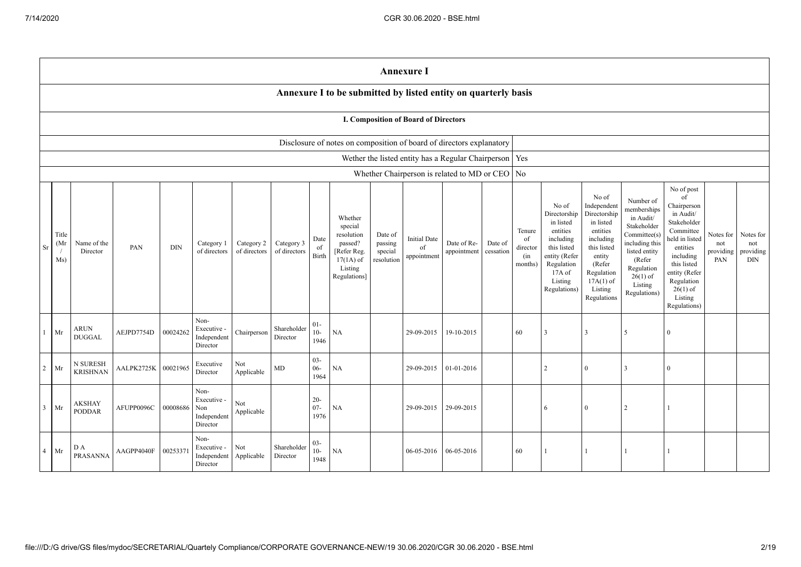|                |                                                                      |                                |            |            |                                                       |                            |                            |                          |                                                                                                      |                                             | <b>Annexure I</b>                        |                                                          |                      |                                            |                                                                                                                                                |                                                                                                                                                                      |                                                                                                                                                                          |                                                                                                                                                                                                           |                                      |                                             |
|----------------|----------------------------------------------------------------------|--------------------------------|------------|------------|-------------------------------------------------------|----------------------------|----------------------------|--------------------------|------------------------------------------------------------------------------------------------------|---------------------------------------------|------------------------------------------|----------------------------------------------------------|----------------------|--------------------------------------------|------------------------------------------------------------------------------------------------------------------------------------------------|----------------------------------------------------------------------------------------------------------------------------------------------------------------------|--------------------------------------------------------------------------------------------------------------------------------------------------------------------------|-----------------------------------------------------------------------------------------------------------------------------------------------------------------------------------------------------------|--------------------------------------|---------------------------------------------|
|                |                                                                      |                                |            |            |                                                       |                            |                            |                          | Annexure I to be submitted by listed entity on quarterly basis                                       |                                             |                                          |                                                          |                      |                                            |                                                                                                                                                |                                                                                                                                                                      |                                                                                                                                                                          |                                                                                                                                                                                                           |                                      |                                             |
|                | I. Composition of Board of Directors                                 |                                |            |            |                                                       |                            |                            |                          |                                                                                                      |                                             |                                          |                                                          |                      |                                            |                                                                                                                                                |                                                                                                                                                                      |                                                                                                                                                                          |                                                                                                                                                                                                           |                                      |                                             |
|                | Disclosure of notes on composition of board of directors explanatory |                                |            |            |                                                       |                            |                            |                          |                                                                                                      |                                             |                                          |                                                          |                      |                                            |                                                                                                                                                |                                                                                                                                                                      |                                                                                                                                                                          |                                                                                                                                                                                                           |                                      |                                             |
|                |                                                                      |                                |            |            |                                                       |                            |                            |                          |                                                                                                      |                                             |                                          | Wether the listed entity has a Regular Chairperson   Yes |                      |                                            |                                                                                                                                                |                                                                                                                                                                      |                                                                                                                                                                          |                                                                                                                                                                                                           |                                      |                                             |
|                |                                                                      |                                |            |            |                                                       |                            |                            |                          |                                                                                                      |                                             |                                          | Whether Chairperson is related to MD or CEO   No         |                      |                                            |                                                                                                                                                |                                                                                                                                                                      |                                                                                                                                                                          |                                                                                                                                                                                                           |                                      |                                             |
| Sr             | Title<br>(Mr)<br>$\sqrt{ }$<br>Ms)                                   | Name of the<br>Director        | PAN        | $\rm{DIN}$ | Category 1<br>of directors                            | Category 2<br>of directors | Category 3<br>of directors | Date<br>of<br>Birth      | Whether<br>special<br>resolution<br>passed?<br>[Refer Reg.<br>$17(1A)$ of<br>Listing<br>Regulations] | Date of<br>passing<br>special<br>resolution | <b>Initial Date</b><br>of<br>appointment | Date of Re-<br>appointment                               | Date of<br>cessation | Tenure<br>of<br>director<br>(in<br>months) | No of<br>Directorship<br>in listed<br>entities<br>including<br>this listed<br>entity (Refer<br>Regulation<br>17A of<br>Listing<br>Regulations) | No of<br>Independent<br>Directorship<br>in listed<br>entities<br>including<br>this listed<br>entity<br>(Refer<br>Regulation<br>$17A(1)$ of<br>Listing<br>Regulations | Number of<br>memberships<br>in Audit/<br>Stakeholder<br>Committee(s)<br>including this<br>listed entity<br>(Refer<br>Regulation<br>$26(1)$ of<br>Listing<br>Regulations) | No of post<br>of<br>Chairperson<br>in Audit/<br>Stakeholder<br>Committee<br>eld in listed<br>entities<br>including<br>this listed<br>entity (Refer<br>Regulation<br>$26(1)$ of<br>Listing<br>Regulations) | Notes for<br>not<br>providing<br>PAN | Notes for<br>not<br>providing<br><b>DIN</b> |
|                | Mr                                                                   | <b>ARUN</b><br><b>DUGGAL</b>   | AEJPD7754D | 00024262   | Non-<br>Executive -<br>Independent<br>Director        | Chairperson                | Shareholder<br>Director    | $01 -$<br>$10-$<br>1946  | NA                                                                                                   |                                             | 29-09-2015                               | 19-10-2015                                               |                      | 60                                         |                                                                                                                                                | 3                                                                                                                                                                    | $\sim$                                                                                                                                                                   | $\Omega$                                                                                                                                                                                                  |                                      |                                             |
| 2              | Mr                                                                   | N SURESH<br><b>KRISHNAN</b>    | AALPK2725K | 00021965   | Executive<br>Director                                 | Not<br>Applicable          | MD                         | $03 -$<br>$06 -$<br>1964 | <b>NA</b>                                                                                            |                                             | 29-09-2015                               | 01-01-2016                                               |                      |                                            | $\overline{2}$                                                                                                                                 | $\mathbf{0}$                                                                                                                                                         | 3                                                                                                                                                                        | $\theta$                                                                                                                                                                                                  |                                      |                                             |
| $\mathbf{3}$   | Mr                                                                   | <b>AKSHAY</b><br><b>PODDAR</b> | AFUPP0096C | 00008686   | Non-<br>Executive -<br>Non<br>Independent<br>Director | Not<br>Applicable          |                            | $20 -$<br>$07 -$<br>1976 | <b>NA</b>                                                                                            |                                             | 29-09-2015                               | 29-09-2015                                               |                      |                                            | 6                                                                                                                                              | $\mathbf{0}$                                                                                                                                                         | 2                                                                                                                                                                        | $\mathbf{1}$                                                                                                                                                                                              |                                      |                                             |
| $\overline{4}$ | Mr                                                                   | D A<br><b>PRASANNA</b>         | AAGPP4040F | 0025337    | Non-<br>Executive -<br>Independent<br>Director        | Not<br>Applicable          | Shareholder<br>Director    | $03 -$<br>$10-$<br>1948  | <b>NA</b>                                                                                            |                                             | 06-05-2016                               | 06-05-2016                                               |                      | 60                                         |                                                                                                                                                | 1                                                                                                                                                                    |                                                                                                                                                                          |                                                                                                                                                                                                           |                                      |                                             |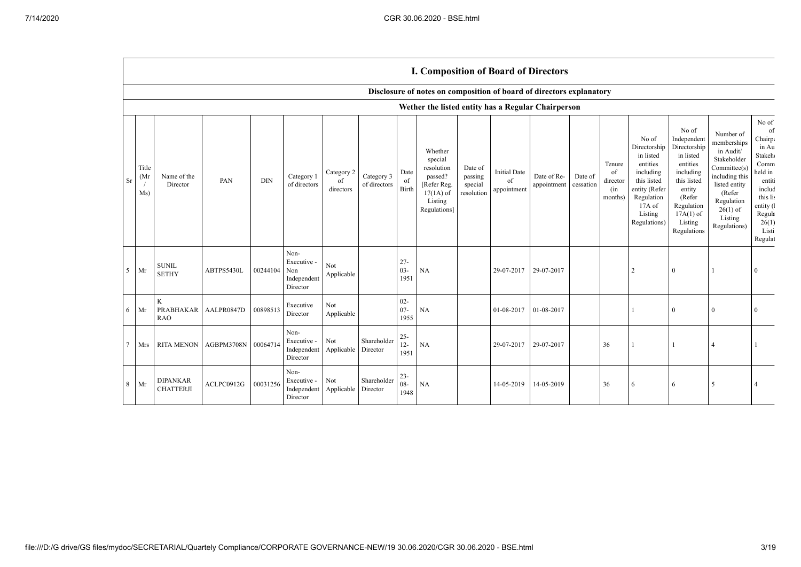$\Box$ 

|    |                      |                                     |                     |            |                                                       |                               |                            |                          | <b>I. Composition of Board of Directors</b>                                                          |                                             |                                          |                            |                      |                                            |                                                                                                                                                |                                                                                                                                                                      |                                                                                                                                                                          |                                                                                                                                                             |
|----|----------------------|-------------------------------------|---------------------|------------|-------------------------------------------------------|-------------------------------|----------------------------|--------------------------|------------------------------------------------------------------------------------------------------|---------------------------------------------|------------------------------------------|----------------------------|----------------------|--------------------------------------------|------------------------------------------------------------------------------------------------------------------------------------------------|----------------------------------------------------------------------------------------------------------------------------------------------------------------------|--------------------------------------------------------------------------------------------------------------------------------------------------------------------------|-------------------------------------------------------------------------------------------------------------------------------------------------------------|
|    |                      |                                     |                     |            |                                                       |                               |                            |                          | Disclosure of notes on composition of board of directors explanatory                                 |                                             |                                          |                            |                      |                                            |                                                                                                                                                |                                                                                                                                                                      |                                                                                                                                                                          |                                                                                                                                                             |
|    |                      |                                     |                     |            |                                                       |                               |                            |                          | Wether the listed entity has a Regular Chairperson                                                   |                                             |                                          |                            |                      |                                            |                                                                                                                                                |                                                                                                                                                                      |                                                                                                                                                                          |                                                                                                                                                             |
| Sr | Title<br>(Mr)<br>Ms) | Name of the<br>Director             | PAN                 | $\rm{DIN}$ | Category 1<br>of directors                            | Category 2<br>of<br>directors | Category 3<br>of directors | Date<br>of<br>Birth      | Whether<br>special<br>resolution<br>passed?<br>[Refer Reg.<br>$17(1A)$ of<br>Listing<br>Regulations] | Date of<br>passing<br>special<br>resolution | <b>Initial Date</b><br>of<br>appointment | Date of Re-<br>appointment | Date of<br>cessation | Tenure<br>of<br>director<br>(in<br>months) | No of<br>Directorship<br>in listed<br>entities<br>including<br>this listed<br>entity (Refer<br>Regulation<br>17A of<br>Listing<br>Regulations) | No of<br>Independent<br>Directorship<br>in listed<br>entities<br>including<br>this listed<br>entity<br>(Refer<br>Regulation<br>$17A(1)$ of<br>Listing<br>Regulations | Number of<br>memberships<br>in Audit/<br>Stakeholder<br>Committee(s)<br>including this<br>listed entity<br>(Refer<br>Regulation<br>$26(1)$ of<br>Listing<br>Regulations) | No of<br>of<br>Chairp<br>in Au<br>Stakeh <sub>®</sub><br>Comm<br>held in<br>entiti<br>includ<br>this lis<br>entity (<br>Regula<br>26(1)<br>Listi<br>Regulat |
| 5  | Mr                   | <b>SUNIL</b><br><b>SETHY</b>        | ABTPS5430L          | 00244104   | Non-<br>Executive -<br>Non<br>Independent<br>Director | Not<br>Applicable             |                            | $27 -$<br>$03 -$<br>1951 | NA                                                                                                   |                                             | 29-07-2017                               | 29-07-2017                 |                      |                                            | $\overline{2}$                                                                                                                                 | $\theta$                                                                                                                                                             |                                                                                                                                                                          | $\Omega$                                                                                                                                                    |
| 6  | Mr                   | K<br><b>PRABHAKAR</b><br><b>RAO</b> | AALPR0847D          | 00898513   | Executive<br>Director                                 | Not<br>Applicable             |                            | $02 -$<br>$07 -$<br>1955 | NA                                                                                                   |                                             | 01-08-2017                               | 01-08-2017                 |                      |                                            |                                                                                                                                                | $\theta$                                                                                                                                                             | $\mathbf{0}$                                                                                                                                                             | $\mathbf{0}$                                                                                                                                                |
| 7  | Mrs                  | <b>RITA MENON</b>                   | AGBPM3708N 00064714 |            | Non-<br>Executive -<br>Independent<br>Director        | Not<br>Applicable             | Shareholder<br>Director    | $25 -$<br>$12 -$<br>1951 | NA                                                                                                   |                                             | 29-07-2017                               | 29-07-2017                 |                      | 36                                         |                                                                                                                                                |                                                                                                                                                                      |                                                                                                                                                                          |                                                                                                                                                             |
| 8  | Mr                   | <b>DIPANKAR</b><br><b>CHATTERJI</b> | ACLPC0912G          | 00031256   | Non-<br>Executive -<br>Independent<br>Director        | Not<br>Applicable             | Shareholder<br>Director    | $23 -$<br>$08 -$<br>1948 | NA                                                                                                   |                                             | 14-05-2019                               | 14-05-2019                 |                      | 36                                         | 6                                                                                                                                              | 6                                                                                                                                                                    | 5                                                                                                                                                                        | $\overline{4}$                                                                                                                                              |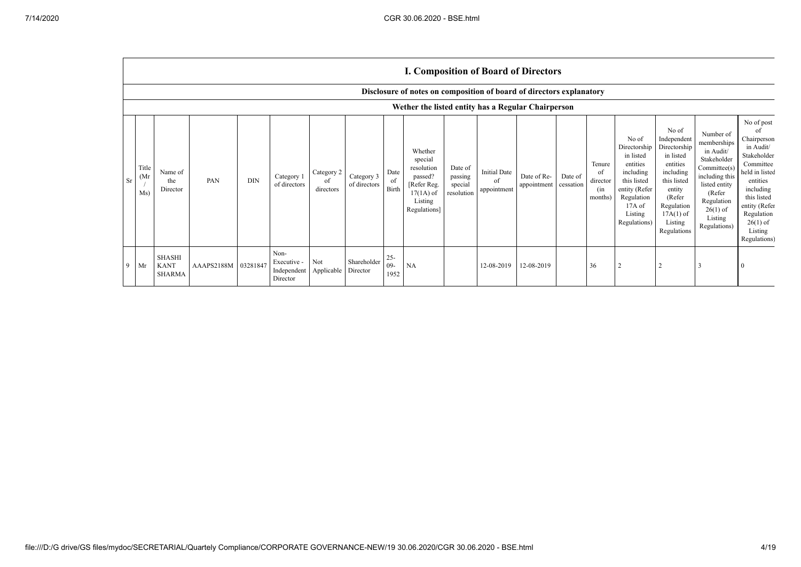$\Gamma$ 

|    |                                   | <b>I. Composition of Board of Directors</b>                          |            |            |                                                           |                               |                            |                         |                                                                                                      |                                             |                                          |                            |                      |                                            |                                                                                                                                                |                                                                                                                                                                      |                                                                                                                                                                          |                                                                                                                                                                                                            |
|----|-----------------------------------|----------------------------------------------------------------------|------------|------------|-----------------------------------------------------------|-------------------------------|----------------------------|-------------------------|------------------------------------------------------------------------------------------------------|---------------------------------------------|------------------------------------------|----------------------------|----------------------|--------------------------------------------|------------------------------------------------------------------------------------------------------------------------------------------------|----------------------------------------------------------------------------------------------------------------------------------------------------------------------|--------------------------------------------------------------------------------------------------------------------------------------------------------------------------|------------------------------------------------------------------------------------------------------------------------------------------------------------------------------------------------------------|
|    |                                   | Disclosure of notes on composition of board of directors explanatory |            |            |                                                           |                               |                            |                         |                                                                                                      |                                             |                                          |                            |                      |                                            |                                                                                                                                                |                                                                                                                                                                      |                                                                                                                                                                          |                                                                                                                                                                                                            |
|    |                                   | Wether the listed entity has a Regular Chairperson                   |            |            |                                                           |                               |                            |                         |                                                                                                      |                                             |                                          |                            |                      |                                            |                                                                                                                                                |                                                                                                                                                                      |                                                                                                                                                                          |                                                                                                                                                                                                            |
| Sr | Title<br>(M <sub>I</sub> )<br>Ms) | Name of<br>the<br>Director                                           | PAN        | <b>DIN</b> | Category 1<br>of directors                                | Category 2<br>of<br>directors | Category 3<br>of directors | Date<br>of<br>Birth     | Whether<br>special<br>resolution<br>passed?<br>[Refer Reg.<br>$17(1A)$ of<br>Listing<br>Regulations] | Date of<br>passing<br>special<br>resolution | <b>Initial Date</b><br>of<br>appointment | Date of Re-<br>appointment | Date of<br>cessation | Tenure<br>of<br>director<br>(in<br>months) | No of<br>Directorship<br>in listed<br>entities<br>including<br>this listed<br>entity (Refer<br>Regulation<br>17A of<br>Listing<br>Regulations) | No of<br>Independent<br>Directorship<br>in listed<br>entities<br>including<br>this listed<br>entity<br>(Refer<br>Regulation<br>$17A(1)$ of<br>Listing<br>Regulations | Number of<br>memberships<br>in Audit/<br>Stakeholder<br>Committee(s)<br>including this<br>listed entity<br>(Refer<br>Regulation<br>$26(1)$ of<br>Listing<br>Regulations) | No of post<br>0f<br>Chairperson<br>in Audit/<br>Stakeholder<br>Committee<br>held in listed<br>entities<br>including<br>this listed<br>entity (Refer<br>Regulation<br>$26(1)$ of<br>Listing<br>Regulations) |
| 9  | Mr                                | <b>SHASHI</b><br><b>KANT</b><br>SHARMA                               | AAAPS2188M | 03281847   | Non-<br>Executive -<br>Independent Applicable<br>Director | Not                           | Shareholder<br>Director    | $25 -$<br>$09-$<br>1952 | <b>NA</b>                                                                                            |                                             | 12-08-2019                               | 12-08-2019                 |                      | 36                                         |                                                                                                                                                |                                                                                                                                                                      |                                                                                                                                                                          |                                                                                                                                                                                                            |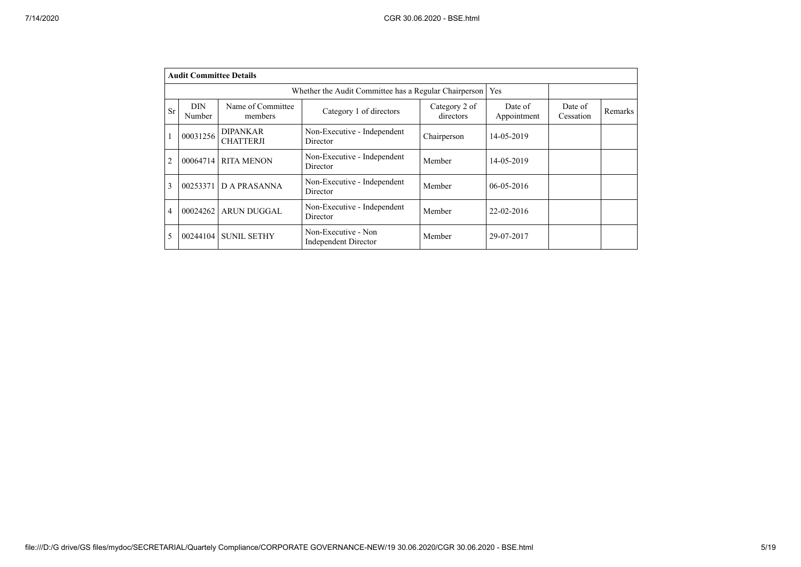|                | <b>Audit Committee Details</b> |                                     |                                                       |                            |                        |                      |         |
|----------------|--------------------------------|-------------------------------------|-------------------------------------------------------|----------------------------|------------------------|----------------------|---------|
|                |                                |                                     | Whether the Audit Committee has a Regular Chairperson |                            | Yes                    |                      |         |
| Sr             | <b>DIN</b><br>Number           | Name of Committee<br>members        | Category 1 of directors                               | Category 2 of<br>directors | Date of<br>Appointment | Date of<br>Cessation | Remarks |
|                | 00031256                       | <b>DIPANKAR</b><br><b>CHATTERJI</b> | Non-Executive - Independent<br>Director               | Chairperson                | 14-05-2019             |                      |         |
| $\overline{2}$ | 00064714                       | <b>RITA MENON</b>                   | Non-Executive - Independent<br>Director               | Member                     | 14-05-2019             |                      |         |
| 3              | 00253371                       | <b>DA PRASANNA</b>                  | Non-Executive - Independent<br>Director               | Member                     | $06 - 05 - 2016$       |                      |         |
| 4              | 00024262                       | <b>ARUN DUGGAL</b>                  | Non-Executive - Independent<br>Director               | Member                     | 22-02-2016             |                      |         |
|                | 00244104                       | <b>SUNIL SETHY</b>                  | Non-Executive - Non<br>Independent Director           | Member                     | 29-07-2017             |                      |         |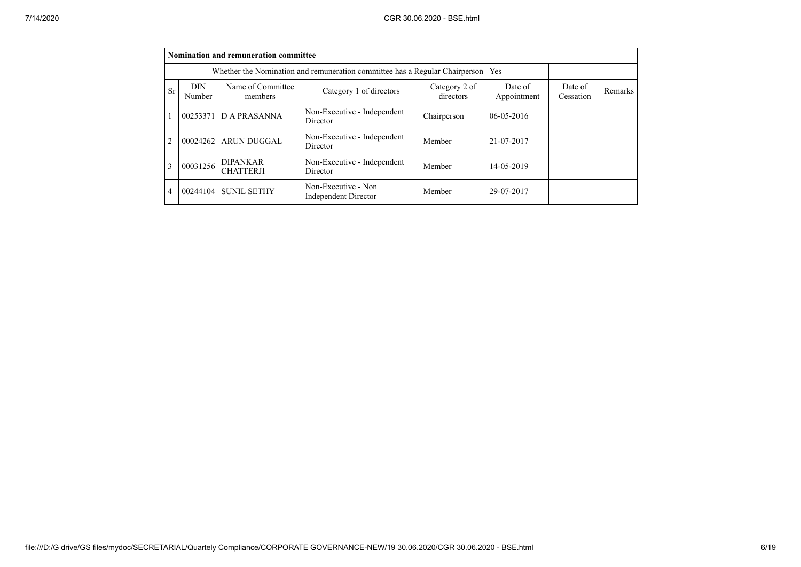|                |                                                                                                                                         | Nomination and remuneration committee |                                                                             |             |                  |                      |         |
|----------------|-----------------------------------------------------------------------------------------------------------------------------------------|---------------------------------------|-----------------------------------------------------------------------------|-------------|------------------|----------------------|---------|
|                |                                                                                                                                         |                                       | Whether the Nomination and remuneration committee has a Regular Chairperson |             | Yes              |                      |         |
| <b>Sr</b>      | Name of Committee<br><b>DIN</b><br>Category 2 of<br>Date of<br>Category 1 of directors<br>directors<br>Appointment<br>Number<br>members |                                       |                                                                             |             |                  | Date of<br>Cessation | Remarks |
| $\overline{1}$ | 00253371                                                                                                                                | <b>DA PRASANNA</b>                    | Non-Executive - Independent<br>Director                                     | Chairperson | $06 - 05 - 2016$ |                      |         |
| $\overline{2}$ | 00024262                                                                                                                                | <b>ARUN DUGGAL</b>                    | Non-Executive - Independent<br>Director                                     | Member      | 21-07-2017       |                      |         |
| 3              | 00031256                                                                                                                                | <b>DIPANKAR</b><br><b>CHATTERJI</b>   | Non-Executive - Independent<br>Director                                     | Member      | 14-05-2019       |                      |         |
| $\overline{4}$ | 00244104                                                                                                                                | <b>SUNIL SETHY</b>                    | Non-Executive - Non<br>Independent Director                                 | Member      | 29-07-2017       |                      |         |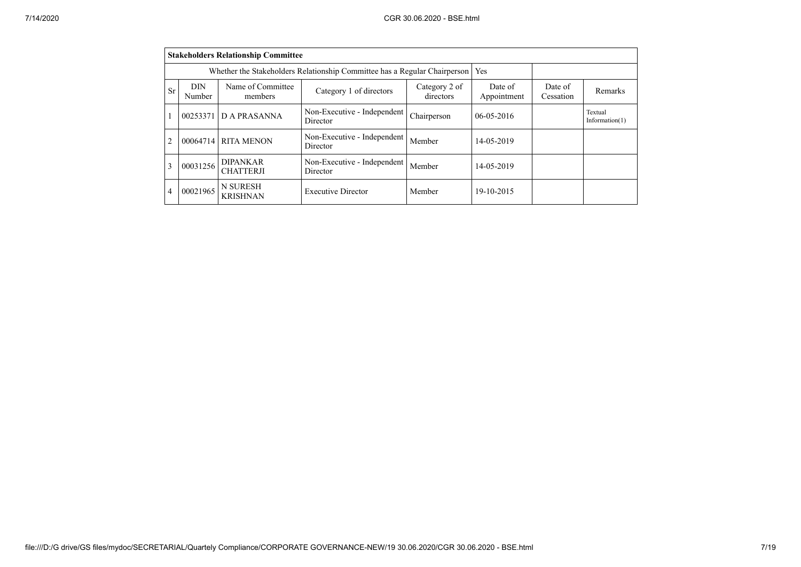|    | <b>Stakeholders Relationship Committee</b>                                       |                                     |                                         |                            |                        |                      |                              |  |  |  |  |
|----|----------------------------------------------------------------------------------|-------------------------------------|-----------------------------------------|----------------------------|------------------------|----------------------|------------------------------|--|--|--|--|
|    | Whether the Stakeholders Relationship Committee has a Regular Chairperson<br>Yes |                                     |                                         |                            |                        |                      |                              |  |  |  |  |
| Sr | DIN<br>Number                                                                    | Name of Committee<br>members        | Category 1 of directors                 | Category 2 of<br>directors | Date of<br>Appointment | Date of<br>Cessation | Remarks                      |  |  |  |  |
|    | 00253371                                                                         | D A PRASANNA                        | Non-Executive - Independent<br>Director | Chairperson                | $06-05-2016$           |                      | Textual<br>Information $(1)$ |  |  |  |  |
| 2  | 00064714                                                                         | <b>RITA MENON</b>                   | Non-Executive - Independent<br>Director | Member                     | 14-05-2019             |                      |                              |  |  |  |  |
| 3  | 00031256                                                                         | <b>DIPANKAR</b><br><b>CHATTERJI</b> | Non-Executive - Independent<br>Director | Member                     | 14-05-2019             |                      |                              |  |  |  |  |
| 4  | 00021965                                                                         | <b>N SURESH</b><br><b>KRISHNAN</b>  | <b>Executive Director</b>               | Member                     | 19-10-2015             |                      |                              |  |  |  |  |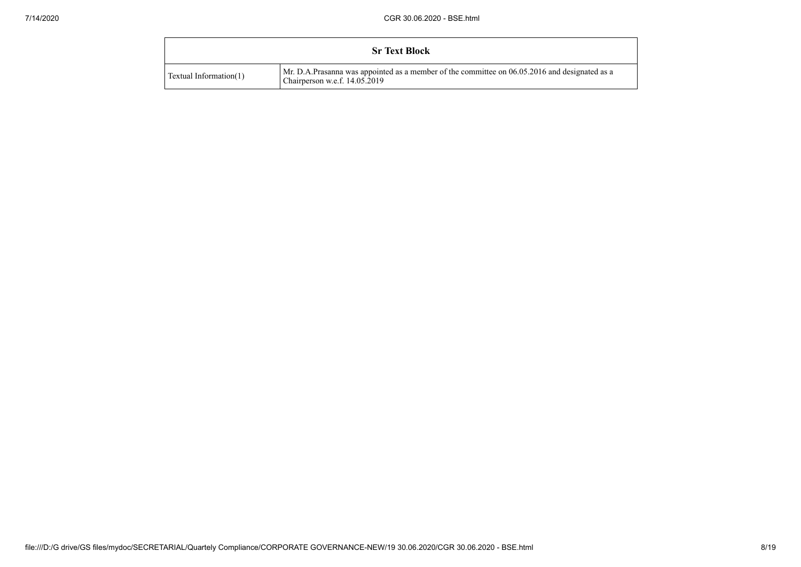|                        | <b>Sr Text Block</b>                                                                                                           |
|------------------------|--------------------------------------------------------------------------------------------------------------------------------|
| Textual Information(1) | Mr. D.A.Prasanna was appointed as a member of the committee on 06.05.2016 and designated as a<br>Chairperson w.e.f. 14.05.2019 |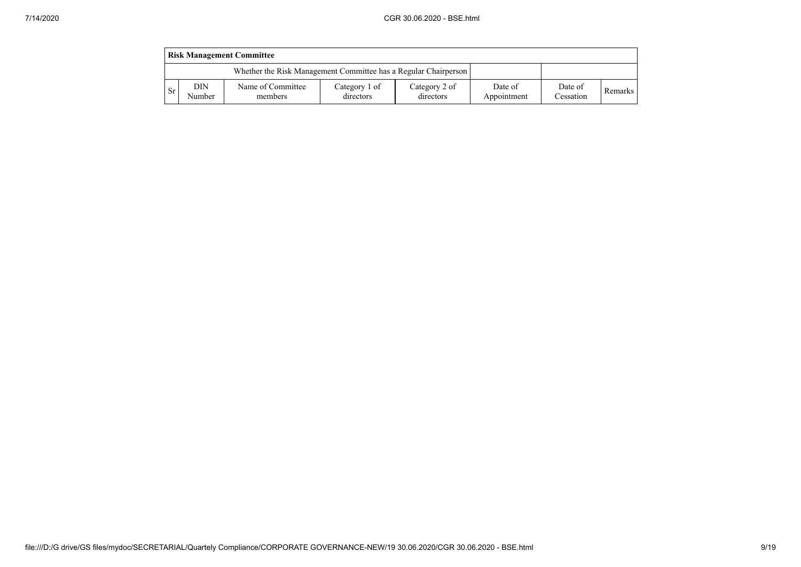|           | <b>Risk Management Committee</b>                                |                              |                            |                            |                        |                      |         |  |  |  |  |
|-----------|-----------------------------------------------------------------|------------------------------|----------------------------|----------------------------|------------------------|----------------------|---------|--|--|--|--|
|           | Whether the Risk Management Committee has a Regular Chairperson |                              |                            |                            |                        |                      |         |  |  |  |  |
| <b>Sr</b> | DIN<br>Number                                                   | Name of Committee<br>members | Category 1 of<br>directors | Category 2 of<br>directors | Date of<br>Appointment | Date of<br>Cessation | Remarks |  |  |  |  |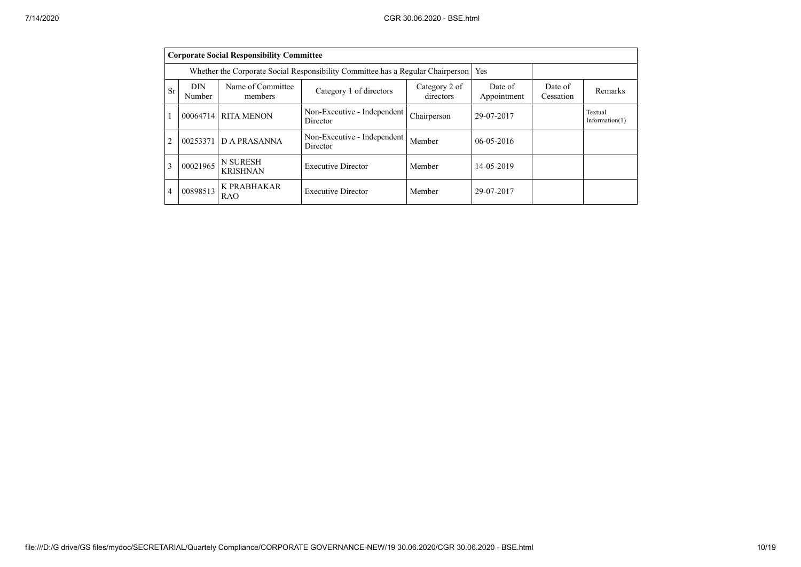|                | <b>Corporate Social Responsibility Committee</b> |                                                                                 |                                         |                            |                        |                      |                              |  |  |  |  |
|----------------|--------------------------------------------------|---------------------------------------------------------------------------------|-----------------------------------------|----------------------------|------------------------|----------------------|------------------------------|--|--|--|--|
|                |                                                  | Whether the Corporate Social Responsibility Committee has a Regular Chairperson | <b>Yes</b>                              |                            |                        |                      |                              |  |  |  |  |
| <b>Sr</b>      | <b>DIN</b><br>Number                             | Name of Committee<br>members                                                    | Category 1 of directors                 | Category 2 of<br>directors | Date of<br>Appointment | Date of<br>Cessation | Remarks                      |  |  |  |  |
| $\mathbf{1}$   | 00064714                                         | <b>RITA MENON</b>                                                               | Non-Executive - Independent<br>Director | Chairperson                | 29-07-2017             |                      | Textual<br>Information $(1)$ |  |  |  |  |
| $\overline{2}$ | 00253371                                         | D A PRASANNA                                                                    | Non-Executive - Independent<br>Director | Member                     | $06 - 05 - 2016$       |                      |                              |  |  |  |  |
| 3              | 00021965                                         | <b>N SURESH</b><br><b>KRISHNAN</b>                                              | <b>Executive Director</b>               | Member                     | 14-05-2019             |                      |                              |  |  |  |  |
| $\overline{4}$ | 00898513                                         | K PRABHAKAR<br><b>RAO</b>                                                       | <b>Executive Director</b>               | Member                     | 29-07-2017             |                      |                              |  |  |  |  |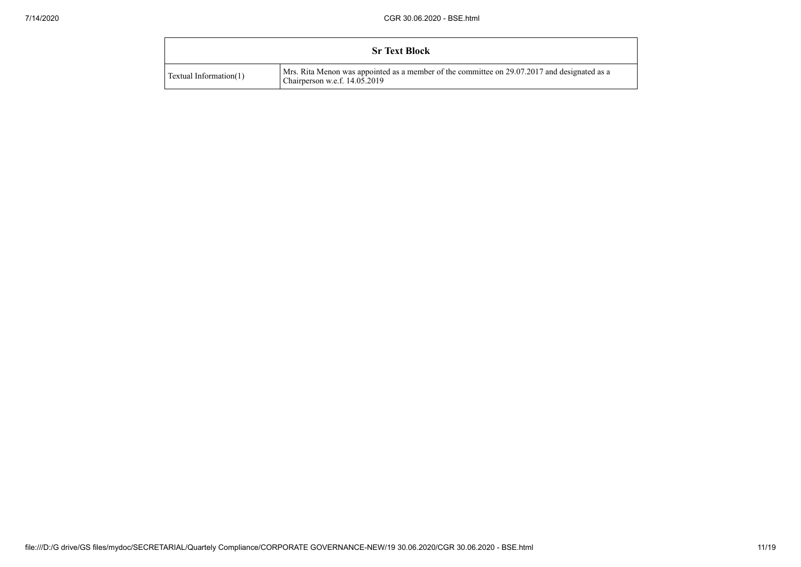|                        | <b>Sr Text Block</b>                                                                                                          |  |
|------------------------|-------------------------------------------------------------------------------------------------------------------------------|--|
| Textual Information(1) | Mrs. Rita Menon was appointed as a member of the committee on 29.07.2017 and designated as a<br>Chairperson w.e.f. 14.05.2019 |  |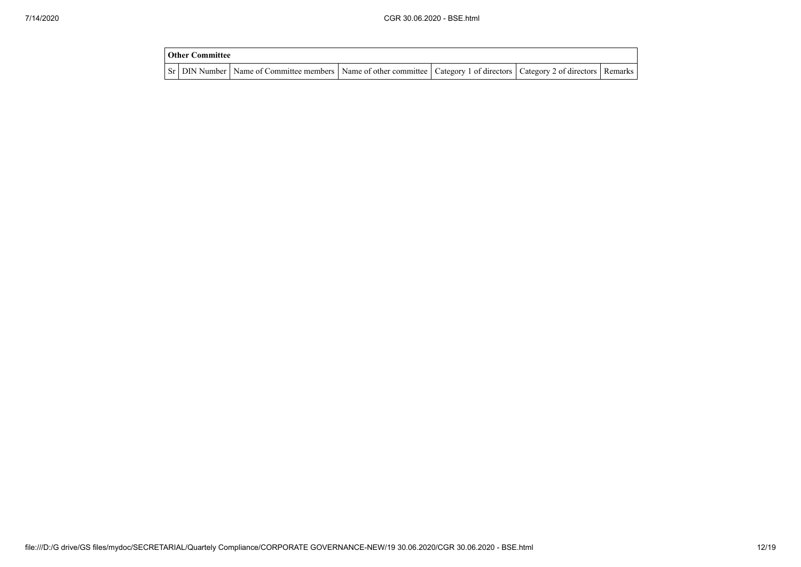| Other Committee |                                                                                                                                     |  |  |
|-----------------|-------------------------------------------------------------------------------------------------------------------------------------|--|--|
|                 | Sr   DIN Number   Name of Committee members   Name of other committee   Category 1 of directors   Category 2 of directors   Remarks |  |  |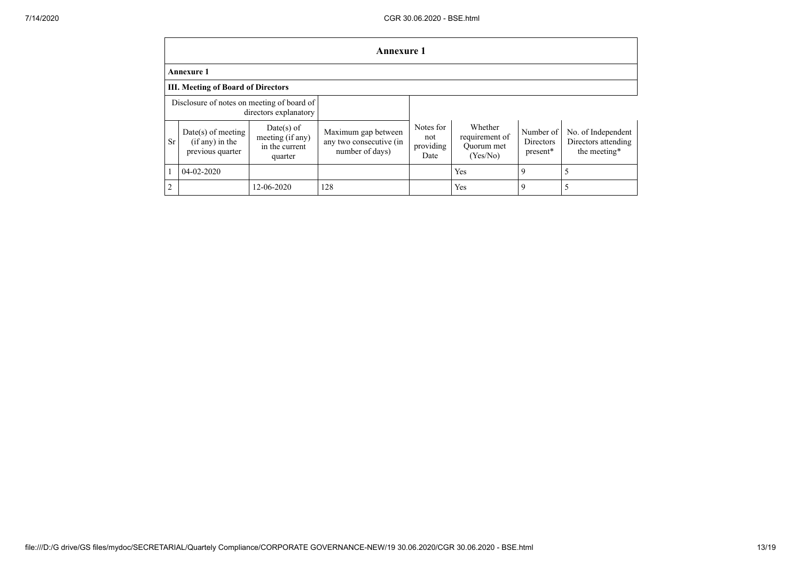|                                                                     | <b>Annexure 1</b>                                           |                                                               |                                                                   |                                       |                                                     |                                    |                                                           |
|---------------------------------------------------------------------|-------------------------------------------------------------|---------------------------------------------------------------|-------------------------------------------------------------------|---------------------------------------|-----------------------------------------------------|------------------------------------|-----------------------------------------------------------|
| <b>Annexure 1</b>                                                   |                                                             |                                                               |                                                                   |                                       |                                                     |                                    |                                                           |
| <b>III. Meeting of Board of Directors</b>                           |                                                             |                                                               |                                                                   |                                       |                                                     |                                    |                                                           |
| Disclosure of notes on meeting of board of<br>directors explanatory |                                                             |                                                               |                                                                   |                                       |                                                     |                                    |                                                           |
| <b>Sr</b>                                                           | $Date(s)$ of meeting<br>(if any) in the<br>previous quarter | $Date(s)$ of<br>meeting (if any)<br>in the current<br>quarter | Maximum gap between<br>any two consecutive (in<br>number of days) | Notes for<br>not<br>providing<br>Date | Whether<br>requirement of<br>Quorum met<br>(Yes/No) | Number of<br>Directors<br>present* | No. of Independent<br>Directors attending<br>the meeting* |
|                                                                     | $04 - 02 - 2020$                                            |                                                               |                                                                   |                                       | Yes                                                 | 9                                  |                                                           |
| $\overline{2}$                                                      |                                                             | 12-06-2020                                                    | 128                                                               |                                       | Yes                                                 | 9                                  |                                                           |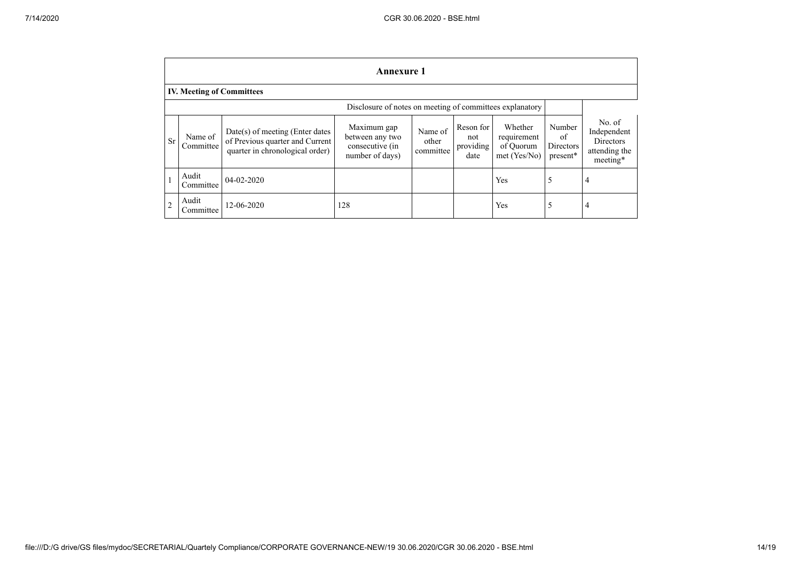|                | <b>Annexure 1</b>                                        |                                                                                                         |                                                                      |                               |                                       |                                                     |                                       |                                                                 |
|----------------|----------------------------------------------------------|---------------------------------------------------------------------------------------------------------|----------------------------------------------------------------------|-------------------------------|---------------------------------------|-----------------------------------------------------|---------------------------------------|-----------------------------------------------------------------|
|                | <b>IV. Meeting of Committees</b>                         |                                                                                                         |                                                                      |                               |                                       |                                                     |                                       |                                                                 |
|                | Disclosure of notes on meeting of committees explanatory |                                                                                                         |                                                                      |                               |                                       |                                                     |                                       |                                                                 |
| <b>Sr</b>      | Name of<br>Committee                                     | $Date(s)$ of meeting (Enter dates<br>of Previous quarter and Current<br>quarter in chronological order) | Maximum gap<br>between any two<br>consecutive (in<br>number of days) | Name of<br>other<br>committee | Reson for<br>not<br>providing<br>date | Whether<br>requirement<br>of Quorum<br>met (Yes/No) | Number<br>of<br>Directors<br>present* | No. of<br>Independent<br>Directors<br>attending the<br>meeting* |
|                | Audit<br>Committee                                       | $04-02-2020$                                                                                            |                                                                      |                               |                                       | Yes                                                 | 5                                     | $\overline{4}$                                                  |
| $\overline{2}$ | Audit<br>Committee                                       | 12-06-2020                                                                                              | 128                                                                  |                               |                                       | Yes                                                 | 5                                     | $\overline{4}$                                                  |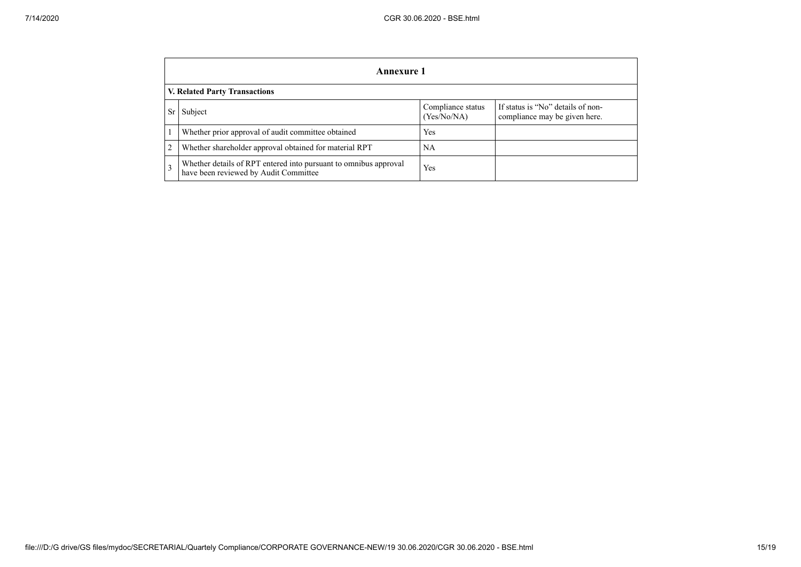|    | Annexure 1                                                                                                |                                  |                                                                    |  |  |
|----|-----------------------------------------------------------------------------------------------------------|----------------------------------|--------------------------------------------------------------------|--|--|
|    | <b>V. Related Party Transactions</b>                                                                      |                                  |                                                                    |  |  |
| Sr | Subject                                                                                                   | Compliance status<br>(Yes/No/NA) | If status is "No" details of non-<br>compliance may be given here. |  |  |
|    | Whether prior approval of audit committee obtained                                                        | Yes                              |                                                                    |  |  |
| 2  | Whether shareholder approval obtained for material RPT                                                    | NA                               |                                                                    |  |  |
| 3  | Whether details of RPT entered into pursuant to omnibus approval<br>have been reviewed by Audit Committee | Yes                              |                                                                    |  |  |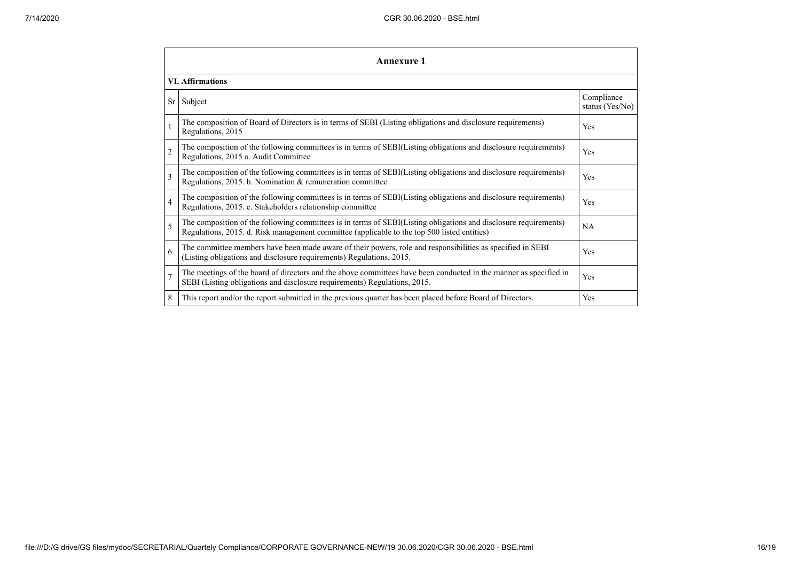|                | <b>Annexure 1</b>                                                                                                                                                                                               |                               |  |  |  |  |
|----------------|-----------------------------------------------------------------------------------------------------------------------------------------------------------------------------------------------------------------|-------------------------------|--|--|--|--|
|                | <b>VI. Affirmations</b>                                                                                                                                                                                         |                               |  |  |  |  |
| Sr             | Subject                                                                                                                                                                                                         | Compliance<br>status (Yes/No) |  |  |  |  |
|                | The composition of Board of Directors is in terms of SEBI (Listing obligations and disclosure requirements)<br>Regulations, 2015                                                                                | Yes                           |  |  |  |  |
| $\overline{2}$ | The composition of the following committees is in terms of SEBI(Listing obligations and disclosure requirements)<br>Regulations, 2015 a. Audit Committee                                                        | Yes                           |  |  |  |  |
| 3              | The composition of the following committees is in terms of SEBI(Listing obligations and disclosure requirements)<br>Regulations, 2015. b. Nomination & remuneration committee                                   | Yes                           |  |  |  |  |
| $\overline{4}$ | The composition of the following committees is in terms of SEBI(Listing obligations and disclosure requirements)<br>Regulations, 2015. c. Stakeholders relationship committee                                   | Yes                           |  |  |  |  |
| 5              | The composition of the following committees is in terms of SEBI(Listing obligations and disclosure requirements)<br>Regulations, 2015. d. Risk management committee (applicable to the top 500 listed entities) | <b>NA</b>                     |  |  |  |  |
| 6              | The committee members have been made aware of their powers, role and responsibilities as specified in SEBI<br>(Listing obligations and disclosure requirements) Regulations, 2015.                              | Yes                           |  |  |  |  |
| $\overline{7}$ | The meetings of the board of directors and the above committees have been conducted in the manner as specified in<br>SEBI (Listing obligations and disclosure requirements) Regulations, 2015.                  | Yes                           |  |  |  |  |
| 8              | This report and/or the report submitted in the previous quarter has been placed before Board of Directors.                                                                                                      | Yes                           |  |  |  |  |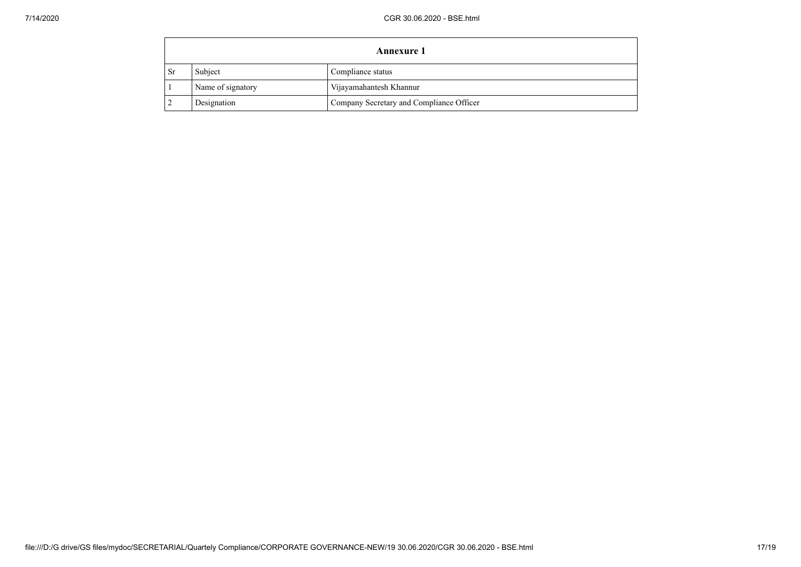| <b>Annexure 1</b> |                   |                                          |  |
|-------------------|-------------------|------------------------------------------|--|
| <b>Sr</b>         | Subject           | Compliance status                        |  |
|                   | Name of signatory | Vijayamahantesh Khannur                  |  |
|                   | Designation       | Company Secretary and Compliance Officer |  |